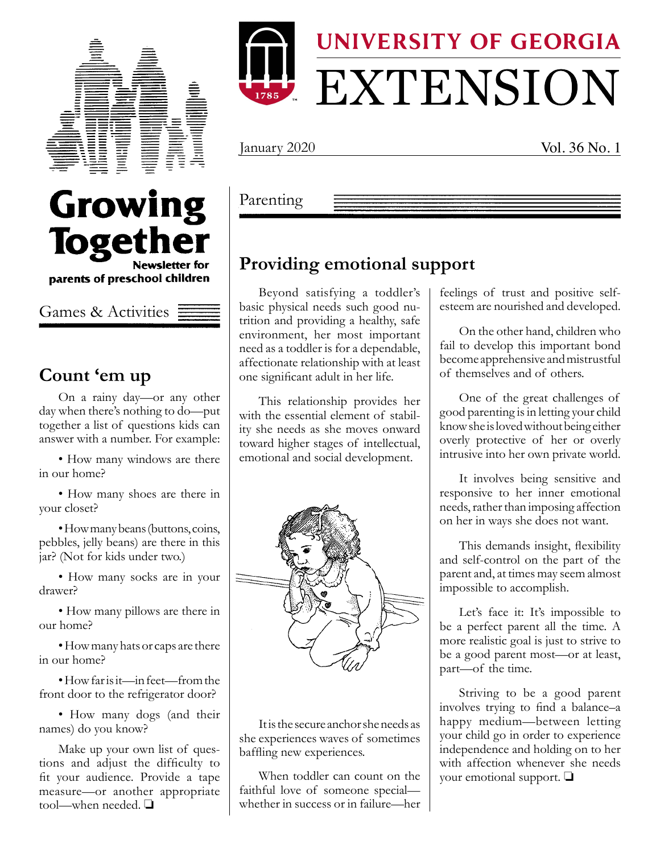

Growing

**Together** 

parents of preschool children

**Newsletter for** 



January 2020 Vol. 36 No. 1

#### Parenting

#### **Providing emotional support**

Beyond satisfying a toddler's basic physical needs such good nutrition and providing a healthy, safe environment, her most important need as a toddler is for a dependable, affectionate relationship with at least one significant adult in her life.

This relationship provides her with the essential element of stability she needs as she moves onward toward higher stages of intellectual, emotional and social development.



It is the secure anchor she needs as she experiences waves of sometimes baffling new experiences.

When toddler can count on the faithful love of someone special whether in success or in failure—her feelings of trust and positive selfesteem are nourished and developed.

On the other hand, children who fail to develop this important bond become apprehensive and mistrustful of themselves and of others.

One of the great challenges of good parenting is in letting your child know she is loved without being either overly protective of her or overly intrusive into her own private world.

It involves being sensitive and responsive to her inner emotional needs, rather than imposing affection on her in ways she does not want.

This demands insight, flexibility and self-control on the part of the parent and, at times may seem almost impossible to accomplish.

Let's face it: It's impossible to be a perfect parent all the time. A more realistic goal is just to strive to be a good parent most—or at least, part—of the time.

Striving to be a good parent involves trying to find a balance–a happy medium—between letting your child go in order to experience independence and holding on to her with affection whenever she needs your emotional support.  $\Box$ 

### **Count 'em up**

Games & Activities

On a rainy day—or any other day when there's nothing to do—put together a list of questions kids can answer with a number. For example:

• How many windows are there in our home?

• How many shoes are there in your closet?

•How many beans (buttons, coins, pebbles, jelly beans) are there in this jar? (Not for kids under two.)

• How many socks are in your drawer?

• How many pillows are there in our home?

•How many hats or caps are there in our home?

•How far is it—in feet—from the front door to the refrigerator door?

• How many dogs (and their names) do you know?

Make up your own list of questions and adjust the difficulty to fit your audience. Provide a tape measure—or another appropriate tool—when needed.  $\square$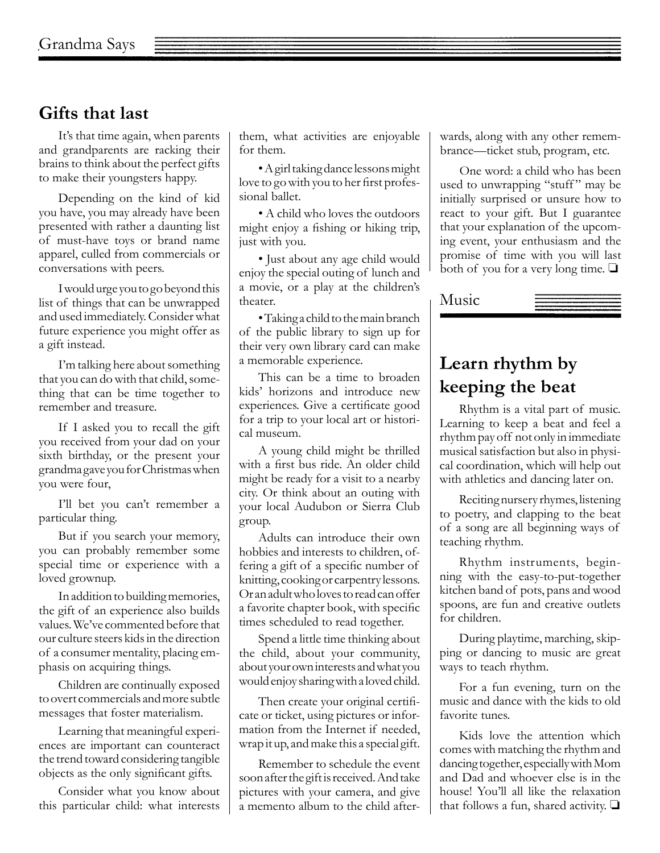#### **Gifts that last**

It's that time again, when parents and grandparents are racking their brains to think about the perfect gifts to make their youngsters happy.

Depending on the kind of kid you have, you may already have been presented with rather a daunting list of must-have toys or brand name apparel, culled from commercials or conversations with peers.

I would urge you to go beyond this list of things that can be unwrapped and used immediately. Consider what future experience you might offer as a gift instead.

I'm talking here about something that you can do with that child, something that can be time together to remember and treasure.

If I asked you to recall the gift you received from your dad on your sixth birthday, or the present your grandma gave you for Christmas when you were four,

I'll bet you can't remember a particular thing.

But if you search your memory, you can probably remember some special time or experience with a loved grownup.

In addition to building memories, the gift of an experience also builds values. We've commented before that our culture steers kids in the direction of a consumer mentality, placing emphasis on acquiring things.

Children are continually exposed to overt commercials and more subtle messages that foster materialism.

Learning that meaningful experiences are important can counteract the trend toward considering tangible objects as the only significant gifts.

Consider what you know about this particular child: what interests them, what activities are enjoyable for them.

•A girl taking dance lessons might love to go with you to her first professional ballet.

• A child who loves the outdoors might enjoy a fishing or hiking trip, just with you.

• Just about any age child would enjoy the special outing of lunch and a movie, or a play at the children's theater.

•Taking a child to the main branch of the public library to sign up for their very own library card can make a memorable experience.

This can be a time to broaden kids' horizons and introduce new experiences. Give a certificate good for a trip to your local art or historical museum.

A young child might be thrilled with a first bus ride. An older child might be ready for a visit to a nearby city. Or think about an outing with your local Audubon or Sierra Club group.

Adults can introduce their own hobbies and interests to children, offering a gift of a specific number of knitting, cooking or carpentry lessons. Or an adult who loves to read can offer a favorite chapter book, with specific times scheduled to read together.

Spend a little time thinking about the child, about your community, about your own interests and what you would enjoy sharing with a loved child.

Then create your original certificate or ticket, using pictures or information from the Internet if needed, wrap it up, and make this a special gift.

Remember to schedule the event soon after the gift is received. And take pictures with your camera, and give a memento album to the child afterwards, along with any other remembrance—ticket stub, program, etc.

One word: a child who has been used to unwrapping "stuff" may be initially surprised or unsure how to react to your gift. But I guarantee that your explanation of the upcoming event, your enthusiasm and the promise of time with you will last both of you for a very long time.  $\Box$ 

Music

# **Learn rhythm by keeping the beat**

Rhythm is a vital part of music. Learning to keep a beat and feel a rhythm pay off not only in immediate musical satisfaction but also in physical coordination, which will help out with athletics and dancing later on.

Reciting nursery rhymes, listening to poetry, and clapping to the beat of a song are all beginning ways of teaching rhythm.

Rhythm instruments, beginning with the easy-to-put-together kitchen band of pots, pans and wood spoons, are fun and creative outlets for children.

During playtime, marching, skipping or dancing to music are great ways to teach rhythm.

For a fun evening, turn on the music and dance with the kids to old favorite tunes.

Kids love the attention which comes with matching the rhythm and dancing together, especially with Mom and Dad and whoever else is in the house! You'll all like the relaxation that follows a fun, shared activity.  $\Box$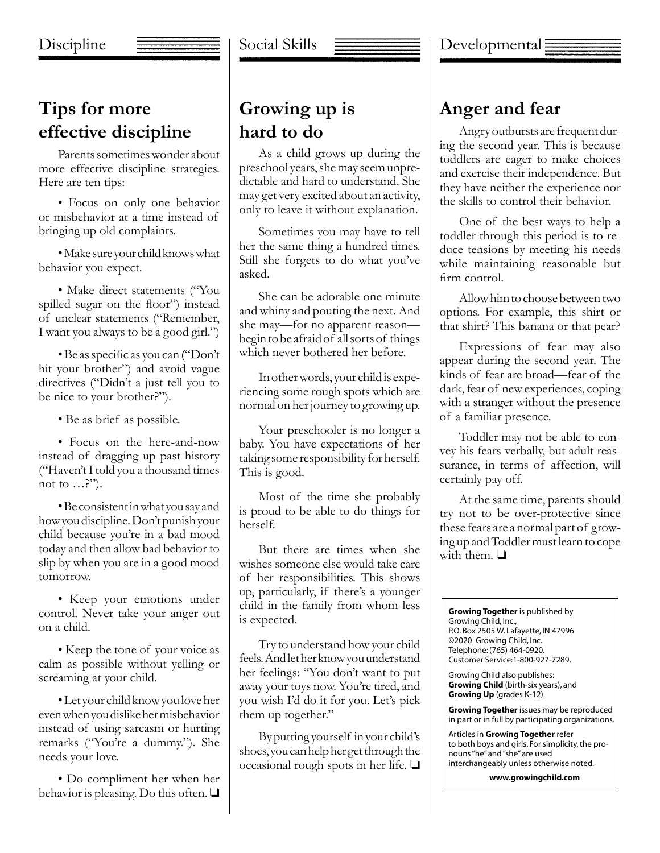# **Tips for more effective discipline**

Parents sometimes wonder about more effective discipline strategies. Here are ten tips:

• Focus on only one behavior or misbehavior at a time instead of bringing up old complaints.

•Make sure your child knows what behavior you expect.

• Make direct statements ("You spilled sugar on the floor") instead of unclear statements ("Remember, I want you always to be a good girl.")

•Be as specific as you can ("Don't hit your brother") and avoid vague directives ("Didn't a just tell you to be nice to your brother?").

• Be as brief as possible.

• Focus on the here-and-now instead of dragging up past history ("Haven't I told you a thousand times not to …?").

•Be consistent in what you say and how you discipline. Don't punish your child because you're in a bad mood today and then allow bad behavior to slip by when you are in a good mood tomorrow.

• Keep your emotions under control. Never take your anger out on a child.

• Keep the tone of your voice as calm as possible without yelling or screaming at your child.

•Let your child know you love her even when you dislike her misbehavior instead of using sarcasm or hurting remarks ("You're a dummy."). She needs your love.

• Do compliment her when her behavior is pleasing. Do this often.  $\Box$ 

# **Growing up is hard to do**

As a child grows up during the preschool years, she may seem unpredictable and hard to understand. She may get very excited about an activity, only to leave it without explanation.

Sometimes you may have to tell her the same thing a hundred times. Still she forgets to do what you've asked.

She can be adorable one minute and whiny and pouting the next. And she may—for no apparent reason begin to be afraid of all sorts of things which never bothered her before.

In other words, your child is experiencing some rough spots which are normal on her journey to growing up.

Your preschooler is no longer a baby. You have expectations of her taking some responsibility for herself. This is good.

Most of the time she probably is proud to be able to do things for herself.

But there are times when she wishes someone else would take care of her responsibilities. This shows up, particularly, if there's a younger child in the family from whom less is expected.

Try to understand how your child feels. And let her know you understand her feelings: "You don't want to put away your toys now. You're tired, and you wish I'd do it for you. Let's pick them up together."

By putting yourself in your child's shoes, you can help her get through the occasional rough spots in her life.  $\Box$ 

### **Anger and fear**

Angry outbursts are frequent during the second year. This is because toddlers are eager to make choices and exercise their independence. But they have neither the experience nor the skills to control their behavior.

One of the best ways to help a toddler through this period is to reduce tensions by meeting his needs while maintaining reasonable but firm control.

Allow him to choose between two options. For example, this shirt or that shirt? This banana or that pear?

Expressions of fear may also appear during the second year. The kinds of fear are broad—fear of the dark, fear of new experiences, coping with a stranger without the presence of a familiar presence.

Toddler may not be able to convey his fears verbally, but adult reassurance, in terms of affection, will certainly pay off.

At the same time, parents should try not to be over-protective since these fears are a normal part of growing up and Toddler must learn to cope with them.  $\Box$ 

**Growing Together** is published by Growing Child, Inc., P.O. Box 2505 W. Lafayette, IN 47996 ©2020 Growing Child, Inc. Telephone: (765) 464-0920. Customer Service:1-800-927-7289.

Growing Child also publishes: **Growing Child** (birth-six years), and **Growing Up** (grades K-12).

**Growing Together** issues may be reproduced in part or in full by participating organizations.

Articles in **Growing Together** refer to both boys and girls. For simplicity, the pronouns "he" and "she" are used interchangeably unless otherwise noted.

**www.growingchild.com**